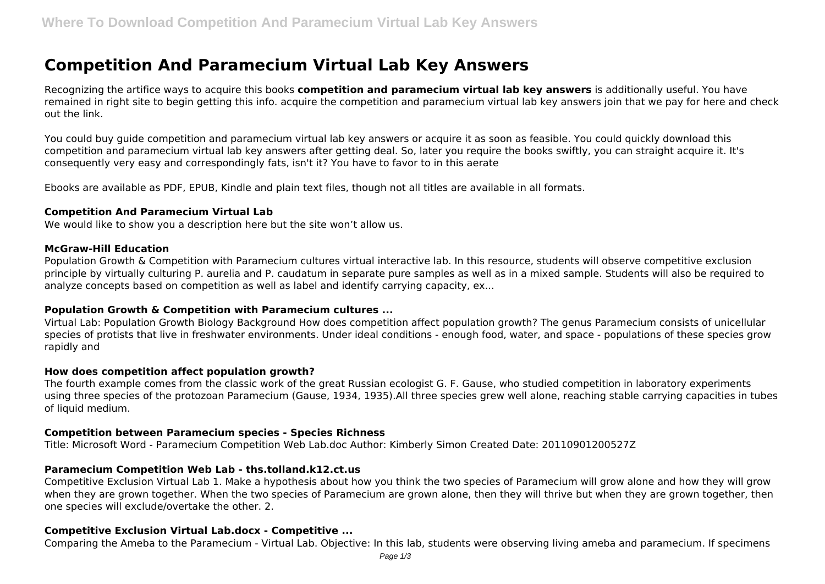# **Competition And Paramecium Virtual Lab Key Answers**

Recognizing the artifice ways to acquire this books **competition and paramecium virtual lab key answers** is additionally useful. You have remained in right site to begin getting this info. acquire the competition and paramecium virtual lab key answers join that we pay for here and check out the link.

You could buy guide competition and paramecium virtual lab key answers or acquire it as soon as feasible. You could quickly download this competition and paramecium virtual lab key answers after getting deal. So, later you require the books swiftly, you can straight acquire it. It's consequently very easy and correspondingly fats, isn't it? You have to favor to in this aerate

Ebooks are available as PDF, EPUB, Kindle and plain text files, though not all titles are available in all formats.

#### **Competition And Paramecium Virtual Lab**

We would like to show you a description here but the site won't allow us.

#### **McGraw-Hill Education**

Population Growth & Competition with Paramecium cultures virtual interactive lab. In this resource, students will observe competitive exclusion principle by virtually culturing P. aurelia and P. caudatum in separate pure samples as well as in a mixed sample. Students will also be required to analyze concepts based on competition as well as label and identify carrying capacity, ex...

# **Population Growth & Competition with Paramecium cultures ...**

Virtual Lab: Population Growth Biology Background How does competition affect population growth? The genus Paramecium consists of unicellular species of protists that live in freshwater environments. Under ideal conditions - enough food, water, and space - populations of these species grow rapidly and

#### **How does competition affect population growth?**

The fourth example comes from the classic work of the great Russian ecologist G. F. Gause, who studied competition in laboratory experiments using three species of the protozoan Paramecium (Gause, 1934, 1935).All three species grew well alone, reaching stable carrying capacities in tubes of liquid medium.

#### **Competition between Paramecium species - Species Richness**

Title: Microsoft Word - Paramecium Competition Web Lab.doc Author: Kimberly Simon Created Date: 20110901200527Z

# **Paramecium Competition Web Lab - ths.tolland.k12.ct.us**

Competitive Exclusion Virtual Lab 1. Make a hypothesis about how you think the two species of Paramecium will grow alone and how they will grow when they are grown together. When the two species of Paramecium are grown alone, then they will thrive but when they are grown together, then one species will exclude/overtake the other. 2.

# **Competitive Exclusion Virtual Lab.docx - Competitive ...**

Comparing the Ameba to the Paramecium - Virtual Lab. Objective: In this lab, students were observing living ameba and paramecium. If specimens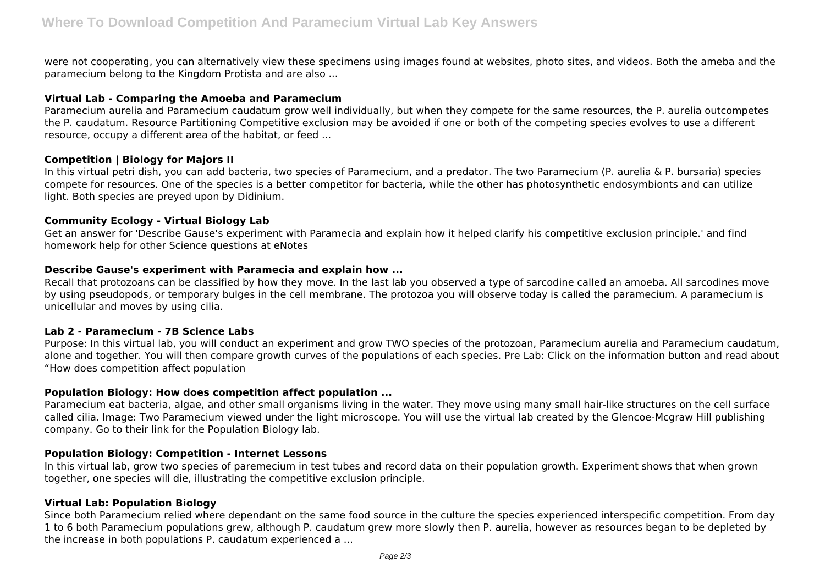were not cooperating, you can alternatively view these specimens using images found at websites, photo sites, and videos. Both the ameba and the paramecium belong to the Kingdom Protista and are also ...

# **Virtual Lab - Comparing the Amoeba and Paramecium**

Paramecium aurelia and Paramecium caudatum grow well individually, but when they compete for the same resources, the P. aurelia outcompetes the P. caudatum. Resource Partitioning Competitive exclusion may be avoided if one or both of the competing species evolves to use a different resource, occupy a different area of the habitat, or feed ...

# **Competition | Biology for Majors II**

In this virtual petri dish, you can add bacteria, two species of Paramecium, and a predator. The two Paramecium (P. aurelia & P. bursaria) species compete for resources. One of the species is a better competitor for bacteria, while the other has photosynthetic endosymbionts and can utilize light. Both species are preyed upon by Didinium.

# **Community Ecology - Virtual Biology Lab**

Get an answer for 'Describe Gause's experiment with Paramecia and explain how it helped clarify his competitive exclusion principle.' and find homework help for other Science questions at eNotes

# **Describe Gause's experiment with Paramecia and explain how ...**

Recall that protozoans can be classified by how they move. In the last lab you observed a type of sarcodine called an amoeba. All sarcodines move by using pseudopods, or temporary bulges in the cell membrane. The protozoa you will observe today is called the paramecium. A paramecium is unicellular and moves by using cilia.

# **Lab 2 - Paramecium - 7B Science Labs**

Purpose: In this virtual lab, you will conduct an experiment and grow TWO species of the protozoan, Paramecium aurelia and Paramecium caudatum, alone and together. You will then compare growth curves of the populations of each species. Pre Lab: Click on the information button and read about "How does competition affect population

# **Population Biology: How does competition affect population ...**

Paramecium eat bacteria, algae, and other small organisms living in the water. They move using many small hair-like structures on the cell surface called cilia. Image: Two Paramecium viewed under the light microscope. You will use the virtual lab created by the Glencoe-Mcgraw Hill publishing company. Go to their link for the Population Biology lab.

# **Population Biology: Competition - Internet Lessons**

In this virtual lab, grow two species of paremecium in test tubes and record data on their population growth. Experiment shows that when grown together, one species will die, illustrating the competitive exclusion principle.

# **Virtual Lab: Population Biology**

Since both Paramecium relied where dependant on the same food source in the culture the species experienced interspecific competition. From day 1 to 6 both Paramecium populations grew, although P. caudatum grew more slowly then P. aurelia, however as resources began to be depleted by the increase in both populations P. caudatum experienced a ...